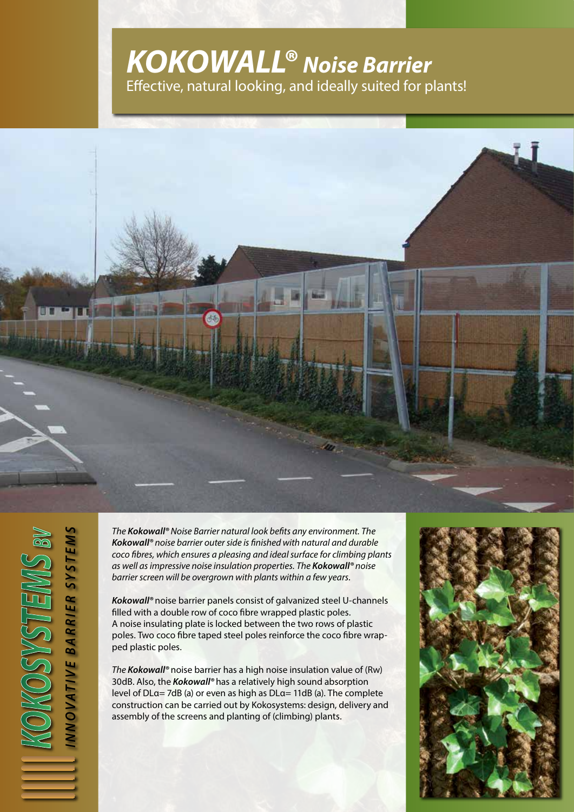## **KOKOWALL® Noise Barrier** Effective, natural looking, and ideally suited for plants!



The **Kokowall®** Noise Barrier natural look befits any environment. The **Kokowall®** noise barrier outer side is finished with natural and durable coco fibres, which ensures a pleasing and ideal surface for climbing plants as well as impressive noise insulation properties. The **Kokowall®** noise barrier screen will be overgrown with plants within a few years.

**Kokowall®** noise barrier panels consist of galvanized steel U-channels filled with a double row of coco fibre wrapped plastic poles. A noise insulating plate is locked between the two rows of plastic poles. Two coco fibre taped steel poles reinforce the coco fibre wrapped plastic poles.

The **Kokowall®** noise barrier has a high noise insulation value of (Rw) 30dB. Also, the**Kokowall®** has a relatively high sound absorption level of DLα= 7dB (a) or even as high as DLα= 11dB (a). The complete construction can be carried out by Kokosystems: design, delivery and assembly of the screens and planting of (climbing) plants.